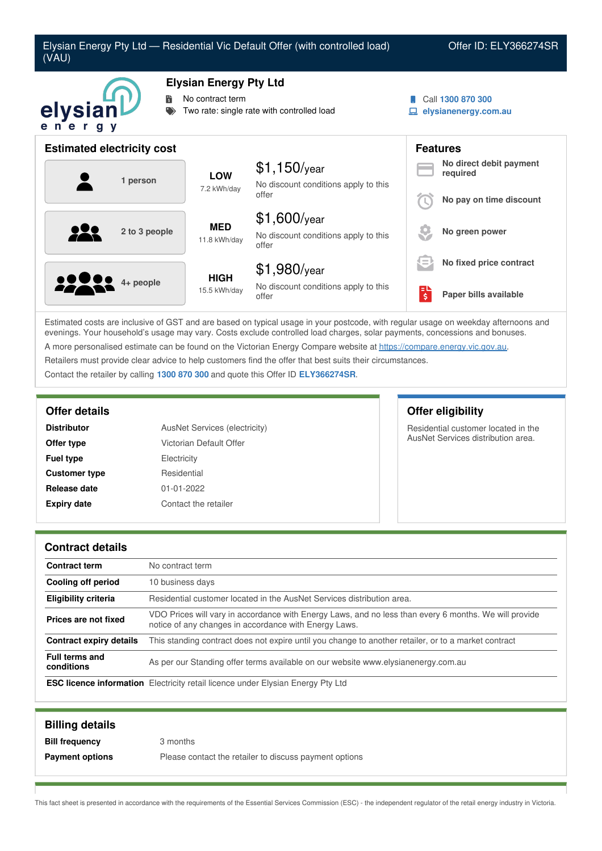

Estimated costs are inclusive of GST and are based on typical usage in your postcode, with regular usage on weekday afternoons and evenings. Your household's usage may vary. Costs exclude controlled load charges, solar payments, concessions and bonuses. A more personalised estimate can be found on the Victorian Energy Compare website at <https://compare.energy.vic.gov.au>. Retailers must provide clear advice to help customers find the offer that best suits their circumstances. Contact the retailer by calling **1300 870 300** and quote this Offer ID **ELY366274SR**.

| <b>Distributor</b>   | AusNet Services (electricity) |  |
|----------------------|-------------------------------|--|
| Offer type           | Victorian Default Offer       |  |
| <b>Fuel type</b>     | Electricity                   |  |
| <b>Customer type</b> | Residential                   |  |
| Release date         | $01 - 01 - 2022$              |  |
| <b>Expiry date</b>   | Contact the retailer          |  |

## **Offer details Offer eligibility**

Residential customer located in the AusNet Services distribution area.

### **Contract details**

| <b>Contract term</b>                | No contract term                                                                                                                                               |
|-------------------------------------|----------------------------------------------------------------------------------------------------------------------------------------------------------------|
| Cooling off period                  | 10 business days                                                                                                                                               |
| <b>Eligibility criteria</b>         | Residential customer located in the AusNet Services distribution area.                                                                                         |
| Prices are not fixed                | VDO Prices will vary in accordance with Energy Laws, and no less than every 6 months. We will provide<br>notice of any changes in accordance with Energy Laws. |
| Contract expiry details             | This standing contract does not expire until you change to another retailer, or to a market contract                                                           |
| <b>Full terms and</b><br>conditions | As per our Standing offer terms available on our website www.elysianenergy.com.au                                                                              |
|                                     | <b>ESC licence information</b> Electricity retail licence under Elysian Energy Pty Ltd                                                                         |

| <b>Billing details</b> |                                                        |
|------------------------|--------------------------------------------------------|
| <b>Bill frequency</b>  | 3 months                                               |
| <b>Payment options</b> | Please contact the retailer to discuss payment options |